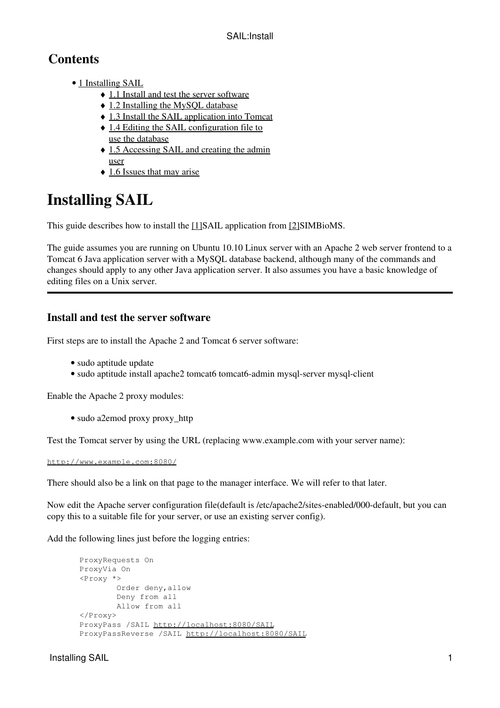# **Contents**

- [1 Installing SAIL](#page-0-0)
	- ♦ [1.1 Install and test the server software](#page-0-1)
	- ♦ [1.2 Installing the MySQL database](#page-1-0)
	- ♦ [1.3 Install the SAIL application into Tomcat](#page-1-1)
	- [1.4 Editing the SAIL configuration file to](#page-2-0) [use the database](#page-2-0)
	- [1.5 Accessing SAIL and creating the admin](#page-2-1) [user](#page-2-1)
	- ♦ [1.6 Issues that may arise](#page-3-0)

# <span id="page-0-0"></span>**Installing SAIL**

This guide describes how to install the [\[1\]S](http://www.simbioms.org/index.php/software-modules-mainmenu-41.html?task=view#SAIL)AIL application from [\[2\]S](http://www.simbioms.org/)IMBioMS.

The guide assumes you are running on Ubuntu 10.10 Linux server with an Apache 2 web server frontend to a Tomcat 6 Java application server with a MySQL database backend, although many of the commands and changes should apply to any other Java application server. It also assumes you have a basic knowledge of editing files on a Unix server.

## <span id="page-0-1"></span>**Install and test the server software**

First steps are to install the Apache 2 and Tomcat 6 server software:

- sudo aptitude update
- sudo aptitude install apache2 tomcat6 tomcat6-admin mysql-server mysql-client

Enable the Apache 2 proxy modules:

• sudo a2emod proxy proxy\_http

Test the Tomcat server by using the URL (replacing www.example.com with your server name):

<http://www.example.com:8080/>

There should also be a link on that page to the manager interface. We will refer to that later.

Now edit the Apache server configuration file(default is /etc/apache2/sites-enabled/000-default, but you can copy this to a suitable file for your server, or use an existing server config).

Add the following lines just before the logging entries:

```
 ProxyRequests On
 ProxyVia On
<Proxy *>
         Order deny,allow
         Deny from all
         Allow from all
 </Proxy> 
 ProxyPass /SAIL http://localhost:8080/SAIL
 ProxyPassReverse /SAIL http://localhost:8080/SAIL
```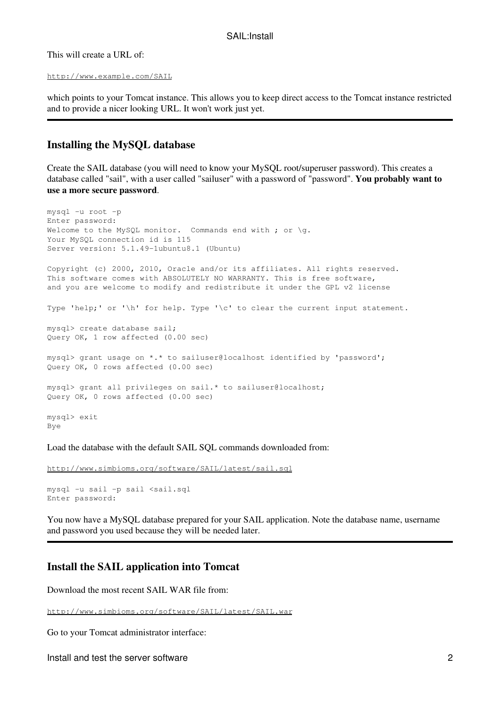This will create a URL of:

```
http://www.example.com/SAIL
```
which points to your Tomcat instance. This allows you to keep direct access to the Tomcat instance restricted and to provide a nicer looking URL. It won't work just yet.

## <span id="page-1-0"></span>**Installing the MySQL database**

Create the SAIL database (you will need to know your MySQL root/superuser password). This creates a database called "sail", with a user called "sailuser" with a password of "password". **You probably want to use a more secure password**.

```
mysql -u root -p
Enter password: 
Welcome to the MySQL monitor. Commands end with ; or \gtrsim.
Your MySQL connection id is 115
Server version: 5.1.49-1ubuntu8.1 (Ubuntu)
Copyright (c) 2000, 2010, Oracle and/or its affiliates. All rights reserved.
This software comes with ABSOLUTELY NO WARRANTY. This is free software,
and you are welcome to modify and redistribute it under the GPL v2 license
Type 'help;' or '\h' for help. Type '\c' to clear the current input statement.
mysql> create database sail;
Query OK, 1 row affected (0.00 sec)
mysql> grant usage on *.* to sailuser@localhost identified by 'password';
Query OK, 0 rows affected (0.00 sec)
mysql> grant all privileges on sail.* to sailuser@localhost;
Query OK, 0 rows affected (0.00 sec)
mysql> exit
Bye
```
Load the database with the default SAIL SQL commands downloaded from:

<http://www.simbioms.org/software/SAIL/latest/sail.sql>

```
mysql -u sail -p sail <sail.sql
Enter password:
```
You now have a MySQL database prepared for your SAIL application. Note the database name, username and password you used because they will be needed later.

## <span id="page-1-1"></span>**Install the SAIL application into Tomcat**

Download the most recent SAIL WAR file from:

<http://www.simbioms.org/software/SAIL/latest/SAIL.war>

Go to your Tomcat administrator interface:

Install and test the server software 2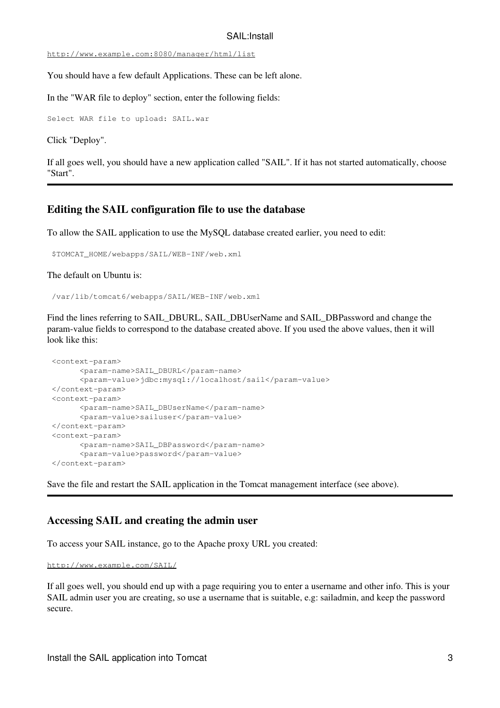#### SAIL:Install

#### <http://www.example.com:8080/manager/html/list>

You should have a few default Applications. These can be left alone.

In the "WAR file to deploy" section, enter the following fields:

Select WAR file to upload: SAIL.war

Click "Deploy".

If all goes well, you should have a new application called "SAIL". If it has not started automatically, choose "Start".

### <span id="page-2-0"></span>**Editing the SAIL configuration file to use the database**

To allow the SAIL application to use the MySQL database created earlier, you need to edit:

```
 $TOMCAT_HOME/webapps/SAIL/WEB-INF/web.xml
```
The default on Ubuntu is:

/var/lib/tomcat6/webapps/SAIL/WEB-INF/web.xml

Find the lines referring to SAIL\_DBURL, SAIL\_DBUserName and SAIL\_DBPassword and change the param-value fields to correspond to the database created above. If you used the above values, then it will look like this:

```
 <context-param>
       <param-name>SAIL_DBURL</param-name>
       <param-value>jdbc:mysql://localhost/sail</param-value>
 </context-param>
 <context-param>
       <param-name>SAIL_DBUserName</param-name>
       <param-value>sailuser</param-value>
 </context-param>
 <context-param>
       <param-name>SAIL_DBPassword</param-name>
       <param-value>password</param-value>
 </context-param>
```
Save the file and restart the SAIL application in the Tomcat management interface (see above).

## <span id="page-2-1"></span>**Accessing SAIL and creating the admin user**

To access your SAIL instance, go to the Apache proxy URL you created:

<http://www.example.com/SAIL/>

If all goes well, you should end up with a page requiring you to enter a username and other info. This is your SAIL admin user you are creating, so use a username that is suitable, e.g: sailadmin, and keep the password secure.